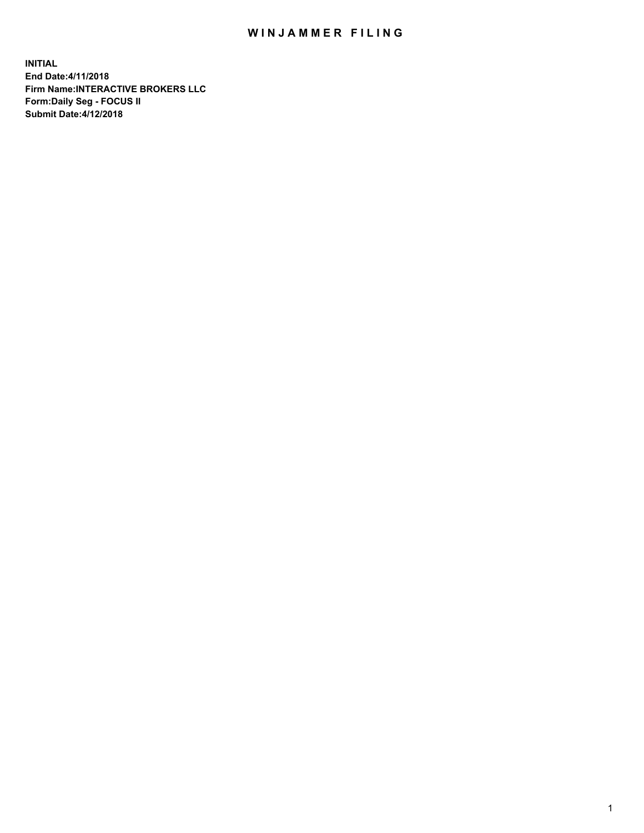## WIN JAMMER FILING

**INITIAL End Date:4/11/2018 Firm Name:INTERACTIVE BROKERS LLC Form:Daily Seg - FOCUS II Submit Date:4/12/2018**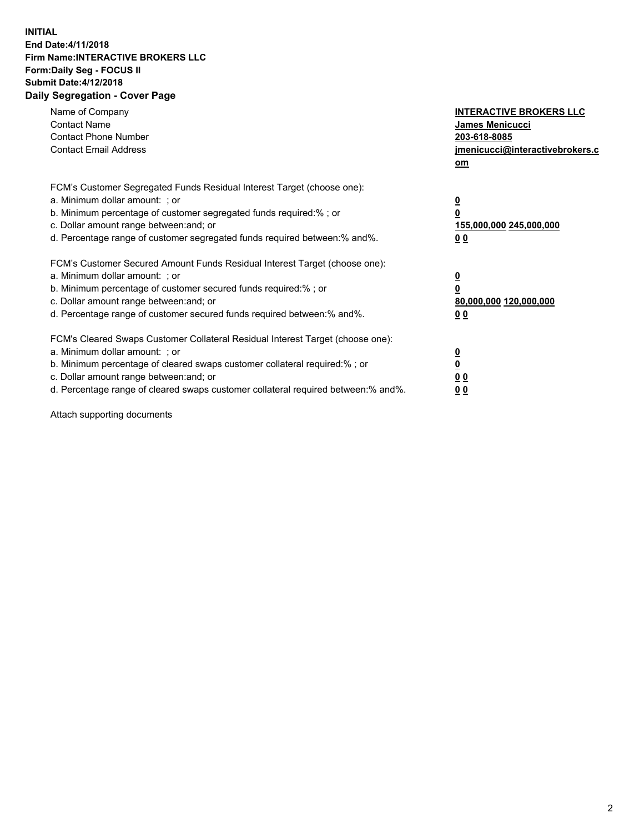## **INITIAL End Date:4/11/2018 Firm Name:INTERACTIVE BROKERS LLC Form:Daily Seg - FOCUS II Submit Date:4/12/2018 Daily Segregation - Cover Page**

| Name of Company<br><b>Contact Name</b><br><b>Contact Phone Number</b><br><b>Contact Email Address</b>                                                                                                                                                                                                                          | <b>INTERACTIVE BROKERS LLC</b><br><b>James Menicucci</b><br>203-618-8085<br>jmenicucci@interactivebrokers.c<br>om |
|--------------------------------------------------------------------------------------------------------------------------------------------------------------------------------------------------------------------------------------------------------------------------------------------------------------------------------|-------------------------------------------------------------------------------------------------------------------|
| FCM's Customer Segregated Funds Residual Interest Target (choose one):<br>a. Minimum dollar amount: ; or<br>b. Minimum percentage of customer segregated funds required:%; or<br>c. Dollar amount range between: and; or<br>d. Percentage range of customer segregated funds required between:% and%.                          | $\overline{\mathbf{0}}$<br>0<br>155,000,000 245,000,000<br>0 <sub>0</sub>                                         |
| FCM's Customer Secured Amount Funds Residual Interest Target (choose one):<br>a. Minimum dollar amount: ; or<br>b. Minimum percentage of customer secured funds required:%; or<br>c. Dollar amount range between: and; or<br>d. Percentage range of customer secured funds required between: % and %.                          | $\overline{\mathbf{0}}$<br>0<br>80,000,000 120,000,000<br>00                                                      |
| FCM's Cleared Swaps Customer Collateral Residual Interest Target (choose one):<br>a. Minimum dollar amount: ; or<br>b. Minimum percentage of cleared swaps customer collateral required:% ; or<br>c. Dollar amount range between: and; or<br>d. Percentage range of cleared swaps customer collateral required between:% and%. | $\overline{\mathbf{0}}$<br>$\overline{\mathbf{0}}$<br>0 <sub>0</sub><br><u>00</u>                                 |

Attach supporting documents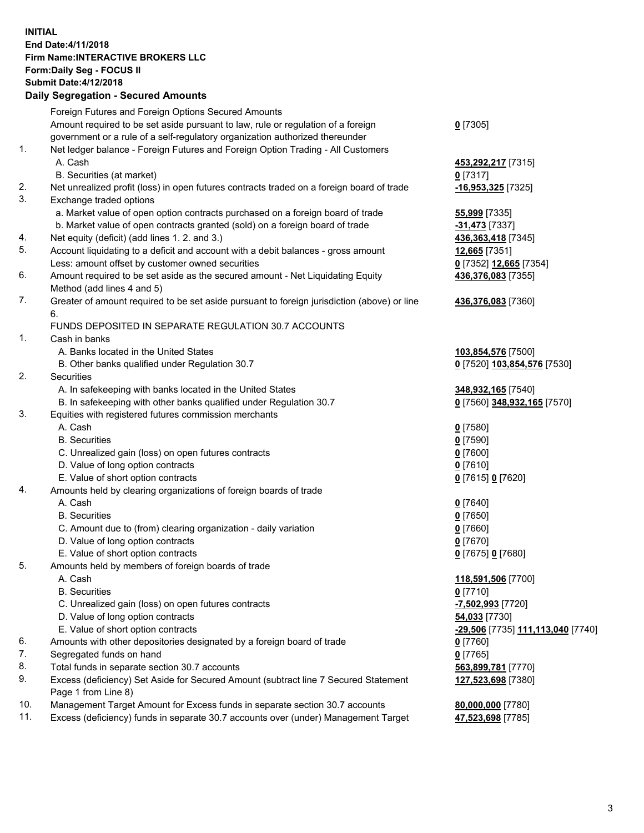## **INITIAL End Date:4/11/2018 Firm Name:INTERACTIVE BROKERS LLC Form:Daily Seg - FOCUS II Submit Date:4/12/2018 Daily Segregation - Secured Amounts**

|     | Daily Jegiegation - Jeculed Aniounts                                                                       |                                   |
|-----|------------------------------------------------------------------------------------------------------------|-----------------------------------|
|     | Foreign Futures and Foreign Options Secured Amounts                                                        |                                   |
|     | Amount required to be set aside pursuant to law, rule or regulation of a foreign                           | $0$ [7305]                        |
|     | government or a rule of a self-regulatory organization authorized thereunder                               |                                   |
| 1.  | Net ledger balance - Foreign Futures and Foreign Option Trading - All Customers                            |                                   |
|     | A. Cash                                                                                                    | 453,292,217 [7315]                |
|     | B. Securities (at market)                                                                                  | $0$ [7317]                        |
| 2.  | Net unrealized profit (loss) in open futures contracts traded on a foreign board of trade                  | -16,953,325 [7325]                |
| 3.  | Exchange traded options                                                                                    |                                   |
|     | a. Market value of open option contracts purchased on a foreign board of trade                             | 55,999 [7335]                     |
|     | b. Market value of open contracts granted (sold) on a foreign board of trade                               | -31,473 [7337]                    |
| 4.  | Net equity (deficit) (add lines 1.2. and 3.)                                                               | 436, 363, 418 [7345]              |
| 5.  | Account liquidating to a deficit and account with a debit balances - gross amount                          | 12,665 [7351]                     |
|     | Less: amount offset by customer owned securities                                                           | 0 [7352] 12,665 [7354]            |
| 6.  | Amount required to be set aside as the secured amount - Net Liquidating Equity                             | 436,376,083 [7355]                |
|     | Method (add lines 4 and 5)                                                                                 |                                   |
| 7.  | Greater of amount required to be set aside pursuant to foreign jurisdiction (above) or line                | 436,376,083 [7360]                |
|     | 6.                                                                                                         |                                   |
|     | FUNDS DEPOSITED IN SEPARATE REGULATION 30.7 ACCOUNTS                                                       |                                   |
| 1.  | Cash in banks                                                                                              |                                   |
|     | A. Banks located in the United States                                                                      | 103,854,576 [7500]                |
|     | B. Other banks qualified under Regulation 30.7                                                             | 0 [7520] 103,854,576 [7530]       |
| 2.  | Securities                                                                                                 |                                   |
|     | A. In safekeeping with banks located in the United States                                                  | 348,932,165 [7540]                |
|     | B. In safekeeping with other banks qualified under Regulation 30.7                                         | 0 [7560] 348,932,165 [7570]       |
| 3.  | Equities with registered futures commission merchants                                                      |                                   |
|     | A. Cash                                                                                                    | $0$ [7580]                        |
|     | <b>B.</b> Securities                                                                                       | $0$ [7590]                        |
|     | C. Unrealized gain (loss) on open futures contracts                                                        | $0$ [7600]                        |
|     | D. Value of long option contracts                                                                          | $0$ [7610]                        |
|     | E. Value of short option contracts                                                                         | 0 [7615] 0 [7620]                 |
| 4.  | Amounts held by clearing organizations of foreign boards of trade                                          |                                   |
|     | A. Cash                                                                                                    | $0$ [7640]                        |
|     | <b>B.</b> Securities                                                                                       | $0$ [7650]                        |
|     | C. Amount due to (from) clearing organization - daily variation                                            | $0$ [7660]                        |
|     | D. Value of long option contracts                                                                          | $0$ [7670]                        |
|     | E. Value of short option contracts                                                                         | 0 [7675] 0 [7680]                 |
| 5.  | Amounts held by members of foreign boards of trade                                                         |                                   |
|     | A. Cash                                                                                                    | 118,591,506 [7700]                |
|     | <b>B.</b> Securities                                                                                       | $0$ [7710]                        |
|     | C. Unrealized gain (loss) on open futures contracts                                                        | -7,502,993 [7720]                 |
|     | D. Value of long option contracts                                                                          | 54,033 [7730]                     |
|     | E. Value of short option contracts                                                                         | -29,506 [7735] 111,113,040 [7740] |
| 6.  | Amounts with other depositories designated by a foreign board of trade                                     | 0 [7760]                          |
| 7.  | Segregated funds on hand                                                                                   | $0$ [7765]                        |
| 8.  | Total funds in separate section 30.7 accounts                                                              | 563,899,781 [7770]                |
| 9.  | Excess (deficiency) Set Aside for Secured Amount (subtract line 7 Secured Statement<br>Page 1 from Line 8) | 127,523,698 [7380]                |
| 10. | Management Target Amount for Excess funds in separate section 30.7 accounts                                | 80,000,000 [7780]                 |
| 11. | Excess (deficiency) funds in separate 30.7 accounts over (under) Management Target                         | 47,523,698 [7785]                 |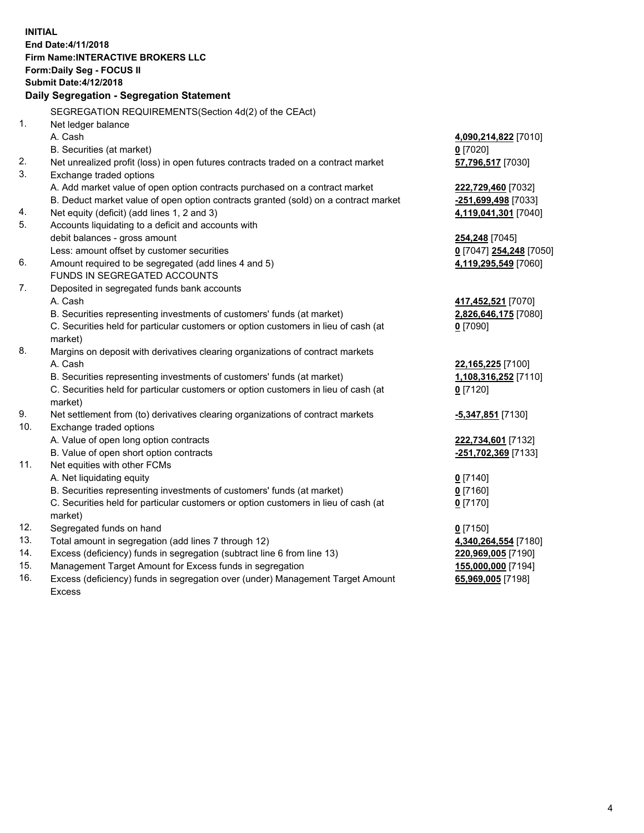**INITIAL End Date:4/11/2018 Firm Name:INTERACTIVE BROKERS LLC Form:Daily Seg - FOCUS II Submit Date:4/12/2018 Daily Segregation - Segregation Statement** SEGREGATION REQUIREMENTS(Section 4d(2) of the CEAct) 1. Net ledger balance A. Cash **4,090,214,822** [7010] B. Securities (at market) **0** [7020] 2. Net unrealized profit (loss) in open futures contracts traded on a contract market **57,796,517** [7030] 3. Exchange traded options A. Add market value of open option contracts purchased on a contract market **222,729,460** [7032] B. Deduct market value of open option contracts granted (sold) on a contract market **-251,699,498** [7033] 4. Net equity (deficit) (add lines 1, 2 and 3) **4,119,041,301** [7040] 5. Accounts liquidating to a deficit and accounts with debit balances - gross amount **254,248** [7045] Less: amount offset by customer securities **0** [7047] **254,248** [7050] 6. Amount required to be segregated (add lines 4 and 5) **4,119,295,549** [7060] FUNDS IN SEGREGATED ACCOUNTS 7. Deposited in segregated funds bank accounts A. Cash **417,452,521** [7070] B. Securities representing investments of customers' funds (at market) **2,826,646,175** [7080] C. Securities held for particular customers or option customers in lieu of cash (at market) **0** [7090] 8. Margins on deposit with derivatives clearing organizations of contract markets A. Cash **22,165,225** [7100] B. Securities representing investments of customers' funds (at market) **1,108,316,252** [7110] C. Securities held for particular customers or option customers in lieu of cash (at market) **0** [7120] 9. Net settlement from (to) derivatives clearing organizations of contract markets **-5,347,851** [7130] 10. Exchange traded options A. Value of open long option contracts **222,734,601** [7132] B. Value of open short option contracts **-251,702,369** [7133] 11. Net equities with other FCMs A. Net liquidating equity **0** [7140] B. Securities representing investments of customers' funds (at market) **0** [7160] C. Securities held for particular customers or option customers in lieu of cash (at market) **0** [7170] 12. Segregated funds on hand **0** [7150] 13. Total amount in segregation (add lines 7 through 12) **4,340,264,554** [7180] 14. Excess (deficiency) funds in segregation (subtract line 6 from line 13) **220,969,005** [7190] 15. Management Target Amount for Excess funds in segregation **155,000,000** [7194] **65,969,005** [7198]

16. Excess (deficiency) funds in segregation over (under) Management Target Amount Excess